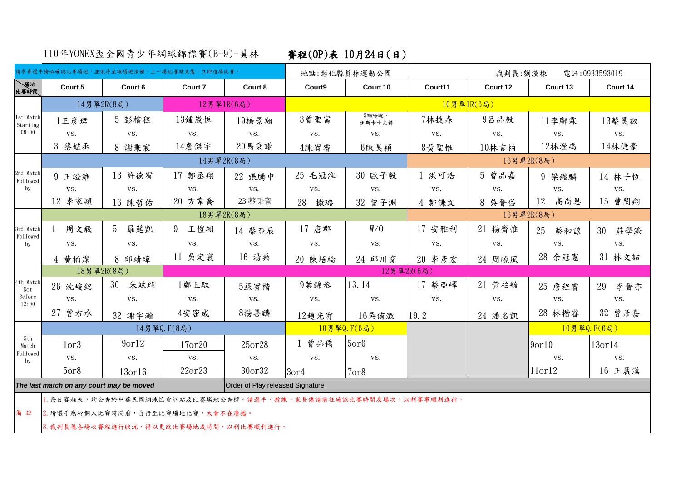110年YONEX盃全國青少年網球錦標賽(B-9)-員林 賽程(OP)表 10月24日(日)

|                                                                              | 請參賽選手務必確認比賽場地,並依序至該場地預備,上一場比賽結束後,立即進場比賽。                           |                     |                     |            | 地點:彰化縣員林運動公園     |                  |         | 電話:0933593019<br>裁判長:劉漢棟 |                     |                     |  |
|------------------------------------------------------------------------------|--------------------------------------------------------------------|---------------------|---------------------|------------|------------------|------------------|---------|--------------------------|---------------------|---------------------|--|
| <b>、場地</b><br>比賽時間                                                           | Court 5                                                            | Court 6             | Court 7             | Court 8    | Court9           | Court 10         | Court11 | Court 12                 | Court 13            | Court 14            |  |
| 1st Match<br>Starting<br>09:00                                               | 14男單2R(8局)                                                         |                     | 12男單1R(6局)          |            |                  | 10男單1R(6局)       |         |                          |                     |                     |  |
|                                                                              | 1王彦珺                                                               | 5 彭楷程               | 13鍾崴恆               | 19楊景翔      | 3曾聖富             | 5黝哈睨·<br>伊斯卡卡夫特  | 7林捷森    | 9吕品毅                     | $11$ 李 鄺 霖          | 13蔡昊叡               |  |
|                                                                              | VS.                                                                | VS.                 | VS.                 | VS.        | VS.              | VS.              | VS.     | VS.                      | VS.                 | VS.                 |  |
|                                                                              | 3 蔡鎧丞                                                              | 8 謝秉宸               | 14詹傑宇               | 20馬秉謙      | 4陳宥睿             | 6陳昊穎             | 8黄聖惟    | 10林言柏                    | 12林澄禹               | 14林使豪               |  |
| 2nd Match<br>Followed<br>by                                                  | 14男單2R(8局)                                                         |                     |                     |            |                  |                  |         | 16男單2R(8局)               |                     |                     |  |
|                                                                              | 9 王證維                                                              | 13 許德宥              | 17 鄭丞翔              | 22 張騰中     | 25 毛冠淮           | 30 歐子毅           | 1 洪可浩   | 5 曾品嘉                    | 9 梁鎧麟               | 14 林子恆              |  |
|                                                                              | VS.                                                                | VS.                 | VS.                 | VS.        | VS.              | VS.              | VS.     | VS.                      | VS.                 | VS.                 |  |
|                                                                              | 12 李家穎                                                             | 16 陳哲佑              | 20 方韋喬              | 23 蔡秉寰     | 撒璐<br>28         | 32 曾子淵           | 4 鄭謙文   | 8 吳晉岱                    | 12<br>高尚恩           | 15 曹閔翔              |  |
| 3rd Match<br>Followed<br>by                                                  |                                                                    |                     |                     | 18男單2R(8局) |                  |                  |         | 16男單2R(8局)               |                     |                     |  |
|                                                                              | 周文毅                                                                | 羅莛凱<br>5            | 9<br>王愷翊            | 14 蔡亞辰     | 17 唐郡            | W/0              | 17 安雅利  | 21 楊齊惟                   | 25<br>蔡和諺           | 莊學濂<br>30           |  |
|                                                                              | VS.                                                                | VS.                 | VS.                 | VS.        | VS.              | VS.              | VS.     | VS.                      | VS.                 | VS.                 |  |
|                                                                              | 4 黄柏霖                                                              | 8 邱靖璋               | 11 吴定寰              | 16 湯桑      | 20 陳語綸           | 24 邱川育           | 20 李彦宏  | 24 周曉風                   | 28 余冠憲              | 31 林文詰              |  |
| 4th Match<br>Not<br>Before<br>12:00                                          | 18男單2R(8局)                                                         |                     |                     |            |                  | 12男單2R(6局)       |         |                          |                     |                     |  |
|                                                                              | 26 沈峻銘                                                             | 30<br>朱竑瑄           | 1鄭上馭                | 5蘇宥楷       | 9葉錦丞             | 13.14            | 17 蔡亞嶧  | 21 黄柏毓                   | 25 詹程睿              | 29<br>李晉亦           |  |
|                                                                              | VS.                                                                | VS.                 | VS.                 | VS.        | VS.              | VS.              | VS.     | VS.                      | VS.                 | VS.                 |  |
|                                                                              | 27 曾右承                                                             | 32 謝宇瀚              | 4安密成                | 8楊善麟       | 12趙光宥            | 16吳侑澂            | 19.2    | 24 潘名凱                   | 28 林楷睿              | 32 曾彦嘉              |  |
| 5th<br>Match<br>Followed<br>by                                               | 14男單Q.F(8局)                                                        |                     |                     |            |                  | 10男單Q.F(6局)      |         |                          | 10男單Q.F(6局)         |                     |  |
|                                                                              | 1 <sub>or3</sub>                                                   | 9 <sub>or12</sub>   | 17 <sub>or</sub> 20 | 25or28     | 1 曾品僑            | 5 <sub>or6</sub> |         |                          | $9$ or $10$         | 13 <sub>or</sub> 14 |  |
|                                                                              | VS.                                                                | VS.                 | VS.                 | VS.        | VS.              | VS.              |         |                          | VS.                 | VS.                 |  |
|                                                                              | 5 <sub>or</sub> 8                                                  | 13 <sub>or</sub> 16 | $22$ or $23$        | 30or32     | 3 <sub>or4</sub> | 7or8             |         |                          | 11 <sub>or</sub> 12 | 16 王晨漢              |  |
| Order of Play released Signature<br>The last match on any court may be moved |                                                                    |                     |                     |            |                  |                  |         |                          |                     |                     |  |
| 備註                                                                           | 1. 每日賽程表, 均公告於中華民國網球協會網站及比賽場地公告欄。請選手、教練、家長儘請前往確認比賽時間及場次, 以利賽事順利進行。 |                     |                     |            |                  |                  |         |                          |                     |                     |  |
|                                                                              | 2. 請選手應於個人比賽時間前,自行至比賽場地比賽,大會不在廣播。                                  |                     |                     |            |                  |                  |         |                          |                     |                     |  |
|                                                                              | 3. 裁判長視各場次賽程進行狀況,得以更改比賽場地或時間,以利比賽順利進行。                             |                     |                     |            |                  |                  |         |                          |                     |                     |  |